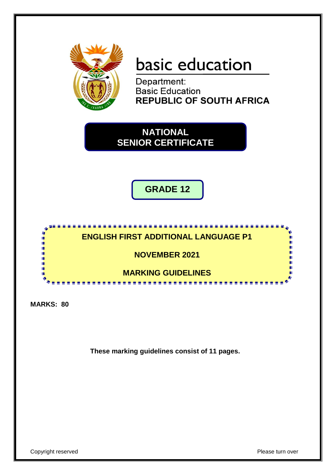

# basic education

Department: **Basic Education REPUBLIC OF SOUTH AFRICA** 

**NATIONAL SENIOR CERTIFICATE**

**GRADE 12**



**MARKS: 80**

**These marking guidelines consist of 11 pages.**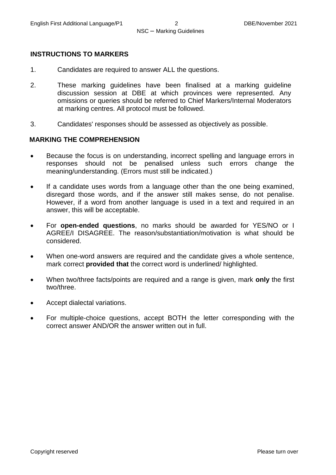#### **INSTRUCTIONS TO MARKERS**

- 1. Candidates are required to answer ALL the questions.
- 2. These marking guidelines have been finalised at a marking guideline discussion session at DBE at which provinces were represented. Any omissions or queries should be referred to Chief Markers/Internal Moderators at marking centres. All protocol must be followed.
- 3. Candidates' responses should be assessed as objectively as possible.

#### **MARKING THE COMPREHENSION**

- Because the focus is on understanding, incorrect spelling and language errors in responses should not be penalised unless such errors change the meaning/understanding. (Errors must still be indicated.)
- If a candidate uses words from a language other than the one being examined, disregard those words, and if the answer still makes sense, do not penalise. However, if a word from another language is used in a text and required in an answer, this will be acceptable.
- For **open-ended questions**, no marks should be awarded for YES/NO or I AGREE/I DISAGREE. The reason/substantiation/motivation is what should be considered.
- When one-word answers are required and the candidate gives a whole sentence, mark correct **provided that** the correct word is underlined/ highlighted.
- When two/three facts/points are required and a range is given, mark **only** the first two/three.
- Accept dialectal variations.
- For multiple-choice questions, accept BOTH the letter corresponding with the correct answer AND/OR the answer written out in full.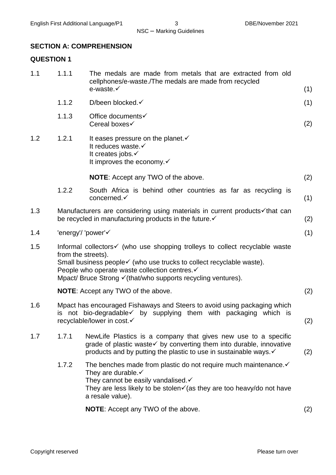#### **SECTION A: COMPREHENSION**

#### **QUESTION 1**

| 1.1 | 1.1.1                                                                                                                                                                                  | The medals are made from metals that are extracted from old<br>cellphones/e-waste./The medals are made from recycled<br>e-waste.√                                                                                                                                      | (1) |
|-----|----------------------------------------------------------------------------------------------------------------------------------------------------------------------------------------|------------------------------------------------------------------------------------------------------------------------------------------------------------------------------------------------------------------------------------------------------------------------|-----|
|     | 1.1.2                                                                                                                                                                                  | D/been blocked. $\checkmark$                                                                                                                                                                                                                                           | (1) |
|     | 1.1.3                                                                                                                                                                                  | Office documents√<br>Cereal boxes√                                                                                                                                                                                                                                     | (2) |
| 1.2 | 1.2.1                                                                                                                                                                                  | It eases pressure on the planet. $\checkmark$<br>It reduces waste.√<br>It creates jobs.√<br>It improves the economy. $\checkmark$                                                                                                                                      |     |
|     |                                                                                                                                                                                        | <b>NOTE:</b> Accept any TWO of the above.                                                                                                                                                                                                                              | (2) |
|     | 1.2.2                                                                                                                                                                                  | South Africa is behind other countries as far as recycling is<br>concerned. $\checkmark$                                                                                                                                                                               | (1) |
| 1.3 |                                                                                                                                                                                        | Manufacturers are considering using materials in current products in that can<br>be recycled in manufacturing products in the future. v                                                                                                                                | (2) |
| 1.4 | 'energy'/ 'power'√                                                                                                                                                                     |                                                                                                                                                                                                                                                                        | (1) |
| 1.5 | from the streets).                                                                                                                                                                     | Informal collectors√ (who use shopping trolleys to collect recyclable waste<br>Small business people√ (who use trucks to collect recyclable waste).<br>People who operate waste collection centres. v<br>Mpact/ Bruce Strong √ (that/who supports recycling ventures). |     |
|     |                                                                                                                                                                                        | <b>NOTE:</b> Accept any TWO of the above.                                                                                                                                                                                                                              | (2) |
| 1.6 | Mpact has encouraged Fishaways and Steers to avoid using packaging which<br>is not bio-degradable $\checkmark$ by supplying them with packaging which is<br>recyclable/lower in cost.√ |                                                                                                                                                                                                                                                                        | (2) |
| 1.7 | 1.7.1                                                                                                                                                                                  | NewLife Plastics is a company that gives new use to a specific<br>grade of plastic waste√ by converting them into durable, innovative<br>products and by putting the plastic to use in sustainable ways. v                                                             | (2) |
|     | 1.7.2                                                                                                                                                                                  | The benches made from plastic do not require much maintenance. v<br>They are durable. $\checkmark$<br>They cannot be easily vandalised. ✓<br>They are less likely to be stolen $\checkmark$ (as they are too heavy/do not have<br>a resale value).                     |     |
|     |                                                                                                                                                                                        | <b>NOTE:</b> Accept any TWO of the above.                                                                                                                                                                                                                              | (2) |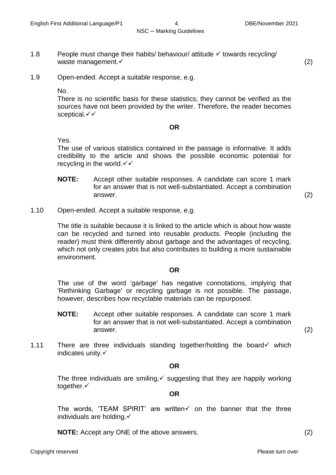1.8 People must change their habits/ behaviour/ attitude  $\checkmark$  towards recycling/

- waste management.  $\checkmark$  (2)
- 1.9 Open-ended. Accept a suitable response, e.g.

No.

There is no scientific basis for these statistics; they cannot be verified as the sources have not been provided by the writer. Therefore, the reader becomes sceptical. $\checkmark\checkmark$ 

#### **OR**

Yes.

The use of various statistics contained in the passage is informative. It adds credibility to the article and shows the possible economic potential for recycling in the world. $\checkmark\checkmark$ 

**NOTE:** Accept other suitable responses. A candidate can score 1 mark for an answer that is not well-substantiated. Accept a combination  $\blacksquare$ answer.  $\hspace{1.6cm} (2)$ 

1.10 Open-ended. Accept a suitable response, e.g.

The title is suitable because it is linked to the article which is about how waste can be recycled and turned into reusable products. People (including the reader) must think differently about garbage and the advantages of recycling, which not only creates jobs but also contributes to building a more sustainable environment.

#### **OR**

The use of the word 'garbage' has negative connotations, implying that 'Rethinking Garbage' or recycling garbage is not possible. The passage, however, describes how recyclable materials can be repurposed.

**NOTE:** Accept other suitable responses. A candidate can score 1 mark for an answer that is not well-substantiated. Accept a combination  $\blacksquare$ answer.  $\hspace{1.6cm} (2)$ 

1.11 There are three individuals standing together/holding the board  $\checkmark$  which indicates unity.

**OR**

The three individuals are smiling,  $\checkmark$  suggesting that they are happily working together.

#### **OR**

The words, 'TEAM SPIRIT' are written  $\checkmark$  on the banner that the three individuals are holding. $\checkmark$ 

**NOTE:** Accept any ONE of the above answers. (2) (2)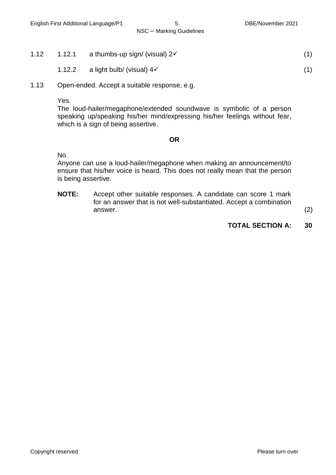- 1.12 1.12.1 a thumbs-up sign/ (visual)  $2\checkmark$  (1)
	- 1.12.2 a light bulb/ (visual)  $4\checkmark$  (1)
- 1.13 Open-ended. Accept a suitable response, e.g.

Yes.

The loud-hailer/megaphone/extended soundwave is symbolic of a person speaking up/speaking his/her mind/expressing his/her feelings without fear, which is a sign of being assertive.

#### **OR**

No.

Anyone can use a loud-hailer/megaphone when making an announcement/to ensure that his/her voice is heard. This does not really mean that the person is being assertive.

**NOTE:** Accept other suitable responses. A candidate can score 1 mark for an answer that is not well-substantiated. Accept a combination  $\blacksquare$ answer.  $\hspace{1.6cm} (2)$ 

#### **TOTAL SECTION A: 30**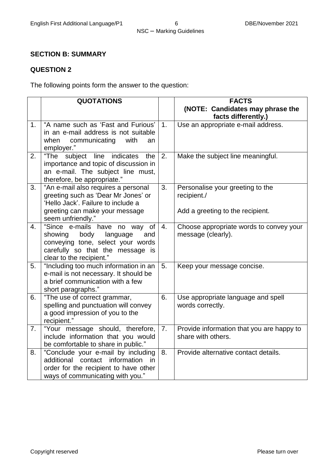#### **SECTION B: SUMMARY**

#### **QUESTION 2**

The following points form the answer to the question:

|                | <b>QUOTATIONS</b>                                                                                                                                                           |                | <b>FACTS</b>                                                                        |
|----------------|-----------------------------------------------------------------------------------------------------------------------------------------------------------------------------|----------------|-------------------------------------------------------------------------------------|
|                |                                                                                                                                                                             |                | (NOTE: Candidates may phrase the<br>facts differently.)                             |
| 1 <sub>1</sub> | "A name such as 'Fast and Furious'<br>in an e-mail address is not suitable<br>when<br>communicating<br>with<br>an<br>employer."                                             | 1 <sub>1</sub> | Use an appropriate e-mail address.                                                  |
| 2.             | subject line<br>"The<br>indicates<br>the<br>importance and topic of discussion in<br>an e-mail. The subject line must,<br>therefore, be appropriate."                       | 2.             | Make the subject line meaningful.                                                   |
| 3.             | "An e-mail also requires a personal<br>greeting such as 'Dear Mr Jones' or<br>'Hello Jack'. Failure to include a<br>greeting can make your message                          | 3.             | Personalise your greeting to the<br>recipient./<br>Add a greeting to the recipient. |
|                | seem unfriendly."                                                                                                                                                           |                |                                                                                     |
| 4.             | "Since e-mails have no way<br>of<br>showing<br>body<br>language<br>and<br>conveying tone, select your words<br>carefully so that the message is<br>clear to the recipient." | 4.             | Choose appropriate words to convey your<br>message (clearly).                       |
| 5.             | "Including too much information in an<br>e-mail is not necessary. It should be<br>a brief communication with a few<br>short paragraphs."                                    | 5.             | Keep your message concise.                                                          |
| 6.             | "The use of correct grammar,<br>spelling and punctuation will convey<br>a good impression of you to the<br>recipient."                                                      | 6.             | Use appropriate language and spell<br>words correctly.                              |
| 7.             | "Your message should, therefore,<br>include information that you would<br>be comfortable to share in public."                                                               | 7.             | Provide information that you are happy to<br>share with others.                     |
| 8.             | "Conclude your e-mail by including<br>additional contact information<br>in.<br>order for the recipient to have other<br>ways of communicating with you."                    | 8.             | Provide alternative contact details.                                                |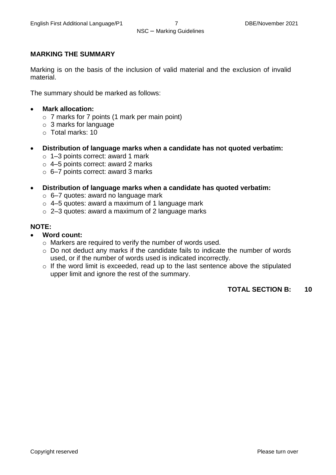#### **MARKING THE SUMMARY**

Marking is on the basis of the inclusion of valid material and the exclusion of invalid material.

The summary should be marked as follows:

- **Mark allocation:**
	- o 7 marks for 7 points (1 mark per main point)
	- o 3 marks for language
	- o Total marks: 10
- **Distribution of language marks when a candidate has not quoted verbatim:**
	- o 1–3 points correct: award 1 mark
	- $\circ$  4–5 points correct: award 2 marks
	- o 6–7 points correct: award 3 marks
- **Distribution of language marks when a candidate has quoted verbatim:**
	- o 6–7 quotes: award no language mark
	- $\circ$  4–5 quotes: award a maximum of 1 language mark
	- o 2–3 quotes: award a maximum of 2 language marks

#### **NOTE:**

- **Word count:**
	- o Markers are required to verify the number of words used.
	- o Do not deduct any marks if the candidate fails to indicate the number of words used, or if the number of words used is indicated incorrectly.
	- o If the word limit is exceeded, read up to the last sentence above the stipulated upper limit and ignore the rest of the summary.

#### **TOTAL SECTION B: 10**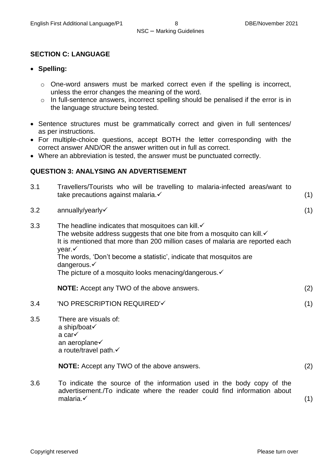#### **SECTION C: LANGUAGE**

- **Spelling:**
	- o One-word answers must be marked correct even if the spelling is incorrect, unless the error changes the meaning of the word.
	- o In full-sentence answers, incorrect spelling should be penalised if the error is in the language structure being tested.
- Sentence structures must be grammatically correct and given in full sentences/ as per instructions.
- For multiple-choice questions, accept BOTH the letter corresponding with the correct answer AND/OR the answer written out in full as correct.
- Where an abbreviation is tested, the answer must be punctuated correctly.

#### **QUESTION 3: ANALYSING AN ADVERTISEMENT**

| 3.1 | Travellers/Tourists who will be travelling to malaria-infected areas/want to<br>take precautions against malaria. v                                                                                                                                                                                                                                                                                    | (1) |
|-----|--------------------------------------------------------------------------------------------------------------------------------------------------------------------------------------------------------------------------------------------------------------------------------------------------------------------------------------------------------------------------------------------------------|-----|
| 3.2 | annually/yearly                                                                                                                                                                                                                                                                                                                                                                                        | (1) |
| 3.3 | The headline indicates that mosquitoes can kill. $\checkmark$<br>The website address suggests that one bite from a mosquito can kill. $\checkmark$<br>It is mentioned that more than 200 million cases of malaria are reported each<br>year. $\checkmark$<br>The words, 'Don't become a statistic', indicate that mosquitos are<br>dangerous.√<br>The picture of a mosquito looks menacing/dangerous.√ |     |
|     | <b>NOTE:</b> Accept any TWO of the above answers.                                                                                                                                                                                                                                                                                                                                                      | (2) |
| 3.4 | 'NO PRESCRIPTION REQUIRED'√                                                                                                                                                                                                                                                                                                                                                                            | (1) |
| 3.5 | There are visuals of:<br>a ship/boat√<br>a car√<br>an aeroplane√<br>a route/travel path.√                                                                                                                                                                                                                                                                                                              |     |
|     | <b>NOTE:</b> Accept any TWO of the above answers.                                                                                                                                                                                                                                                                                                                                                      | (2) |
| 3.6 | To indicate the source of the information used in the body copy of the<br>advertisement./To indicate where the reader could find information about                                                                                                                                                                                                                                                     |     |

malaria. $\checkmark$  (1)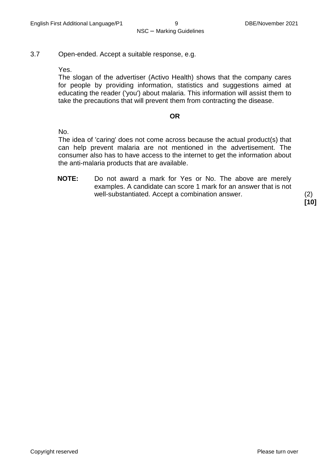3.7 Open-ended. Accept a suitable response, e.g.

Yes.

The slogan of the advertiser (Activo Health) shows that the company cares for people by providing information, statistics and suggestions aimed at educating the reader ('you') about malaria. This information will assist them to take the precautions that will prevent them from contracting the disease.

#### **OR**

No.

The idea of 'caring' does not come across because the actual product(s) that can help prevent malaria are not mentioned in the advertisement. The consumer also has to have access to the internet to get the information about the anti-malaria products that are available.

**NOTE:** Do not award a mark for Yes or No. The above are merely examples. A candidate can score 1 mark for an answer that is not well-substantiated. Accept a combination answer. (2)

**[10]**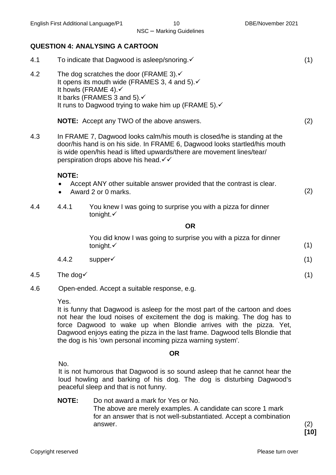#### **QUESTION 4: ANALYSING A CARTOON**

| 4.1                |                      | To indicate that Dagwood is asleep/snoring.√                                                                                                                                                                                                                               |     |
|--------------------|----------------------|----------------------------------------------------------------------------------------------------------------------------------------------------------------------------------------------------------------------------------------------------------------------------|-----|
| 4.2                |                      | The dog scratches the door (FRAME 3). $\checkmark$<br>It opens its mouth wide (FRAMES 3, 4 and 5). ✓<br>It howls (FRAME 4).√<br>It barks (FRAMES 3 and 5).√<br>It runs to Dagwood trying to wake him up (FRAME 5). $\checkmark$                                            |     |
|                    |                      | <b>NOTE:</b> Accept any TWO of the above answers.                                                                                                                                                                                                                          | (2) |
| 4.3                |                      | In FRAME 7, Dagwood looks calm/his mouth is closed/he is standing at the<br>door/his hand is on his side. In FRAME 6, Dagwood looks startled/his mouth<br>is wide open/his head is lifted upwards/there are movement lines/tear/<br>perspiration drops above his head. V V |     |
|                    | <b>NOTE:</b>         | Accept ANY other suitable answer provided that the contrast is clear.<br>Award 2 or 0 marks.                                                                                                                                                                               | (2) |
| 4.4                | 4.4.1                | You knew I was going to surprise you with a pizza for dinner<br>tonight. $\checkmark$                                                                                                                                                                                      |     |
|                    |                      | <b>OR</b>                                                                                                                                                                                                                                                                  |     |
|                    |                      | You did know I was going to surprise you with a pizza for dinner<br>tonight. $\checkmark$                                                                                                                                                                                  | (1) |
|                    | 4.4.2                | supper√                                                                                                                                                                                                                                                                    | (1) |
| 4.5                | The dog $\checkmark$ |                                                                                                                                                                                                                                                                            | (1) |
| $\Lambda$ $\Omega$ |                      | $\Omega$ pan andad $\Lambda$ coant a quitable response a g                                                                                                                                                                                                                 |     |

4.6 Open-ended. Accept a suitable response, e.g.

Yes.

It is funny that Dagwood is asleep for the most part of the cartoon and does not hear the loud noises of excitement the dog is making. The dog has to force Dagwood to wake up when Blondie arrives with the pizza. Yet, Dagwood enjoys eating the pizza in the last frame. Dagwood tells Blondie that the dog is his 'own personal incoming pizza warning system'.

#### **OR**

No.

It is not humorous that Dagwood is so sound asleep that he cannot hear the loud howling and barking of his dog. The dog is disturbing Dagwood's peaceful sleep and that is not funny.

**NOTE:** Do not award a mark for Yes or No. The above are merely examples. A candidate can score 1 mark for an answer that is not well-substantiated. Accept a combination answer. (2)

**[10]**